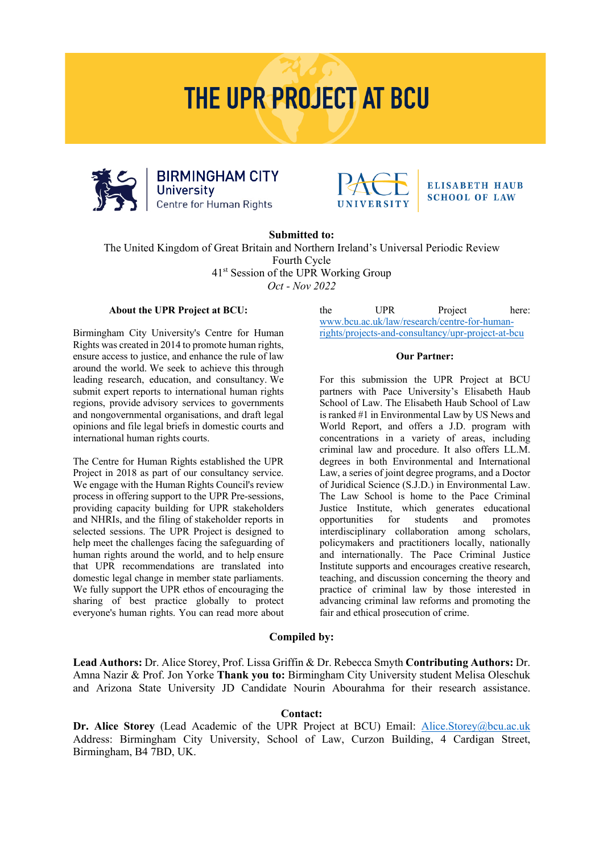# **THE UPR PROJECT AT BCU**





#### **ELISABETH HAUB SCHOOL OF LAW**

**Submitted to:**

The United Kingdom of Great Britain and Northern Ireland's Universal Periodic Review Fourth Cycle 41st Session of the UPR Working Group *Oct - Nov 2022*

#### **About the UPR Project at BCU:**

Birmingham City University's Centre for Human Rights was created in 2014 to promote human rights, ensure access to justice, and enhance the rule of law around the world. We seek to achieve this through leading research, education, and consultancy. We submit expert reports to international human rights regions, provide advisory services to governments and nongovernmental organisations, and draft legal opinions and file legal briefs in domestic courts and international human rights courts.

The Centre for Human Rights established the UPR Project in 2018 as part of our consultancy service. We engage with the Human Rights Council's review process in offering support to the UPR Pre-sessions, providing capacity building for UPR stakeholders and NHRIs, and the filing of stakeholder reports in selected sessions. The UPR Project is designed to help meet the challenges facing the safeguarding of human rights around the world, and to help ensure that UPR recommendations are translated into domestic legal change in member state parliaments. We fully support the UPR ethos of encouraging the sharing of best practice globally to protect everyone's human rights. You can read more about

the UPR Project here: www.bcu.ac.uk/law/research/centre-for-humanrights/projects-and-consultancy/upr-project-at-bcu

#### **Our Partner:**

For this submission the UPR Project at BCU partners with Pace University's Elisabeth Haub School of Law. The Elisabeth Haub School of Law is ranked #1 in Environmental Law by US News and World Report, and offers a J.D. program with concentrations in a variety of areas, including criminal law and procedure. It also offers LL.M. degrees in both Environmental and International Law, a series of joint degree programs, and a Doctor of Juridical Science (S.J.D.) in Environmental Law. The Law School is home to the Pace Criminal Justice Institute, which generates educational opportunities for students and promotes interdisciplinary collaboration among scholars, policymakers and practitioners locally, nationally and internationally. The Pace Criminal Justice Institute supports and encourages creative research, teaching, and discussion concerning the theory and practice of criminal law by those interested in advancing criminal law reforms and promoting the fair and ethical prosecution of crime.

#### **Compiled by:**

**Lead Authors:** Dr. Alice Storey, Prof. Lissa Griffin & Dr. Rebecca Smyth **Contributing Authors:** Dr. Amna Nazir & Prof. Jon Yorke **Thank you to:** Birmingham City University student Melisa Oleschuk and Arizona State University JD Candidate Nourin Abourahma for their research assistance.

#### **Contact:**

**Dr. Alice Storey** (Lead Academic of the UPR Project at BCU) Email: Alice.Storey@bcu.ac.uk Address: Birmingham City University, School of Law, Curzon Building, 4 Cardigan Street, Birmingham, B4 7BD, UK.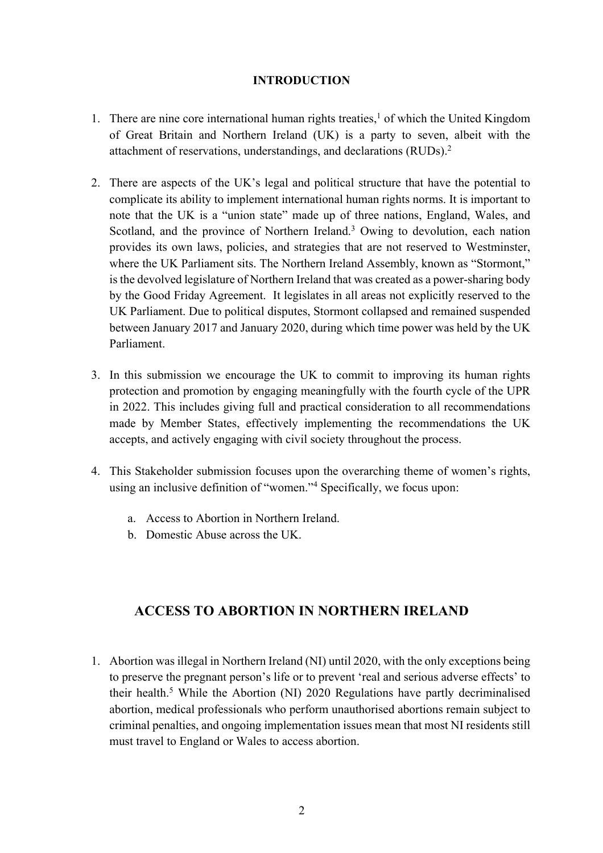#### **INTRODUCTION**

- 1. There are nine core international human rights treaties,<sup>1</sup> of which the United Kingdom of Great Britain and Northern Ireland (UK) is a party to seven, albeit with the attachment of reservations, understandings, and declarations (RUDs).2
- 2. There are aspects of the UK's legal and political structure that have the potential to complicate its ability to implement international human rights norms. It is important to note that the UK is a "union state" made up of three nations, England, Wales, and Scotland, and the province of Northern Ireland.<sup>3</sup> Owing to devolution, each nation provides its own laws, policies, and strategies that are not reserved to Westminster, where the UK Parliament sits. The Northern Ireland Assembly, known as "Stormont," is the devolved legislature of Northern Ireland that was created as a power-sharing body by the Good Friday Agreement. It legislates in all areas not explicitly reserved to the UK Parliament. Due to political disputes, Stormont collapsed and remained suspended between January 2017 and January 2020, during which time power was held by the UK Parliament.
- 3. In this submission we encourage the UK to commit to improving its human rights protection and promotion by engaging meaningfully with the fourth cycle of the UPR in 2022. This includes giving full and practical consideration to all recommendations made by Member States, effectively implementing the recommendations the UK accepts, and actively engaging with civil society throughout the process.
- 4. This Stakeholder submission focuses upon the overarching theme of women's rights, using an inclusive definition of "women."4 Specifically, we focus upon:
	- a. Access to Abortion in Northern Ireland.
	- b. Domestic Abuse across the UK.

# **ACCESS TO ABORTION IN NORTHERN IRELAND**

1. Abortion was illegal in Northern Ireland (NI) until 2020, with the only exceptions being to preserve the pregnant person's life or to prevent 'real and serious adverse effects' to their health.5 While the Abortion (NI) 2020 Regulations have partly decriminalised abortion, medical professionals who perform unauthorised abortions remain subject to criminal penalties, and ongoing implementation issues mean that most NI residents still must travel to England or Wales to access abortion.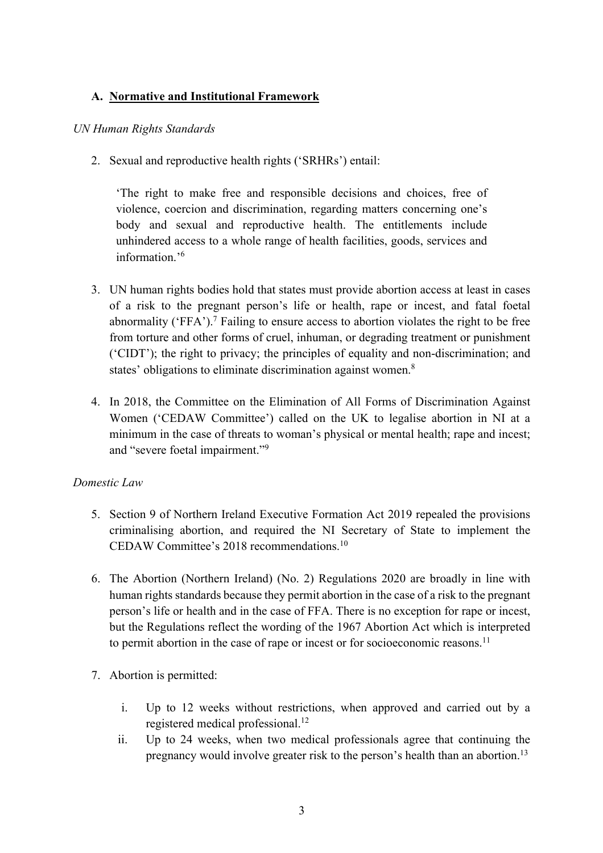# **A. Normative and Institutional Framework**

#### *UN Human Rights Standards*

2. Sexual and reproductive health rights ('SRHRs') entail:

'The right to make free and responsible decisions and choices, free of violence, coercion and discrimination, regarding matters concerning one's body and sexual and reproductive health. The entitlements include unhindered access to a whole range of health facilities, goods, services and information.'6

- 3. UN human rights bodies hold that states must provide abortion access at least in cases of a risk to the pregnant person's life or health, rape or incest, and fatal foetal abnormality ('FFA').<sup>7</sup> Failing to ensure access to abortion violates the right to be free from torture and other forms of cruel, inhuman, or degrading treatment or punishment ('CIDT'); the right to privacy; the principles of equality and non-discrimination; and states' obligations to eliminate discrimination against women.<sup>8</sup>
- 4. In 2018, the Committee on the Elimination of All Forms of Discrimination Against Women ('CEDAW Committee') called on the UK to legalise abortion in NI at a minimum in the case of threats to woman's physical or mental health; rape and incest; and "severe foetal impairment."9

## *Domestic Law*

- 5. Section 9 of Northern Ireland Executive Formation Act 2019 repealed the provisions criminalising abortion, and required the NI Secretary of State to implement the CEDAW Committee's 2018 recommendations.10
- 6. The Abortion (Northern Ireland) (No. 2) Regulations 2020 are broadly in line with human rights standards because they permit abortion in the case of a risk to the pregnant person's life or health and in the case of FFA. There is no exception for rape or incest, but the Regulations reflect the wording of the 1967 Abortion Act which is interpreted to permit abortion in the case of rape or incest or for socioeconomic reasons.<sup>11</sup>
- 7. Abortion is permitted:
	- i. Up to 12 weeks without restrictions, when approved and carried out by a registered medical professional.12
	- ii. Up to 24 weeks, when two medical professionals agree that continuing the pregnancy would involve greater risk to the person's health than an abortion.13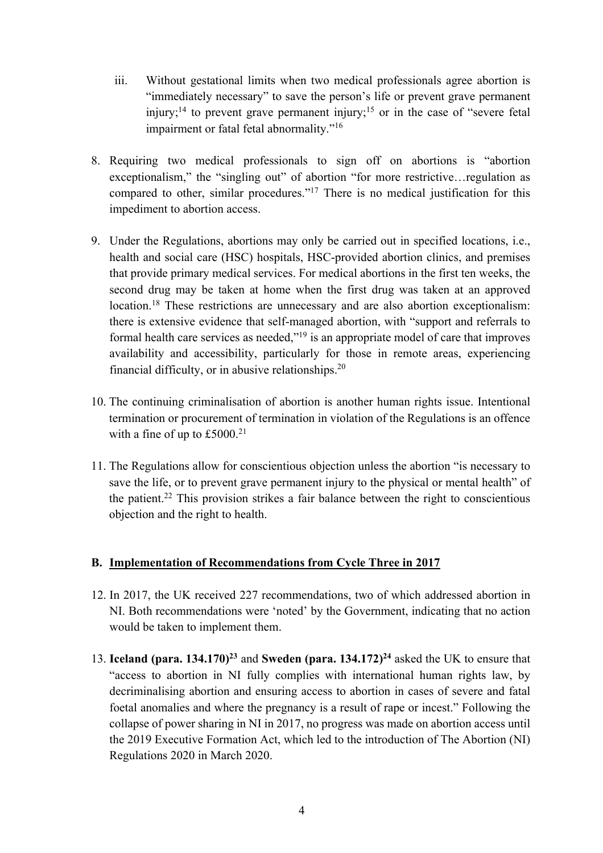- iii. Without gestational limits when two medical professionals agree abortion is "immediately necessary" to save the person's life or prevent grave permanent injury;<sup>14</sup> to prevent grave permanent injury;<sup>15</sup> or in the case of "severe fetal" impairment or fatal fetal abnormality."16
- 8. Requiring two medical professionals to sign off on abortions is "abortion exceptionalism," the "singling out" of abortion "for more restrictive…regulation as compared to other, similar procedures."17 There is no medical justification for this impediment to abortion access.
- 9. Under the Regulations, abortions may only be carried out in specified locations, i.e., health and social care (HSC) hospitals, HSC-provided abortion clinics, and premises that provide primary medical services. For medical abortions in the first ten weeks, the second drug may be taken at home when the first drug was taken at an approved location.<sup>18</sup> These restrictions are unnecessary and are also abortion exceptionalism: there is extensive evidence that self-managed abortion, with "support and referrals to formal health care services as needed,"19 is an appropriate model of care that improves availability and accessibility, particularly for those in remote areas, experiencing financial difficulty, or in abusive relationships.20
- 10. The continuing criminalisation of abortion is another human rights issue. Intentional termination or procurement of termination in violation of the Regulations is an offence with a fine of up to  $£5000.<sup>21</sup>$
- 11. The Regulations allow for conscientious objection unless the abortion "is necessary to save the life, or to prevent grave permanent injury to the physical or mental health" of the patient.<sup>22</sup> This provision strikes a fair balance between the right to conscientious objection and the right to health.

## **B. Implementation of Recommendations from Cycle Three in 2017**

- 12. In 2017, the UK received 227 recommendations, two of which addressed abortion in NI. Both recommendations were 'noted' by the Government, indicating that no action would be taken to implement them.
- 13. **Iceland (para. 134.170)**<sup>23</sup> and **Sweden (para. 134.172)**<sup>24</sup> asked the UK to ensure that "access to abortion in NI fully complies with international human rights law, by decriminalising abortion and ensuring access to abortion in cases of severe and fatal foetal anomalies and where the pregnancy is a result of rape or incest." Following the collapse of power sharing in NI in 2017, no progress was made on abortion access until the 2019 Executive Formation Act, which led to the introduction of The Abortion (NI) Regulations 2020 in March 2020.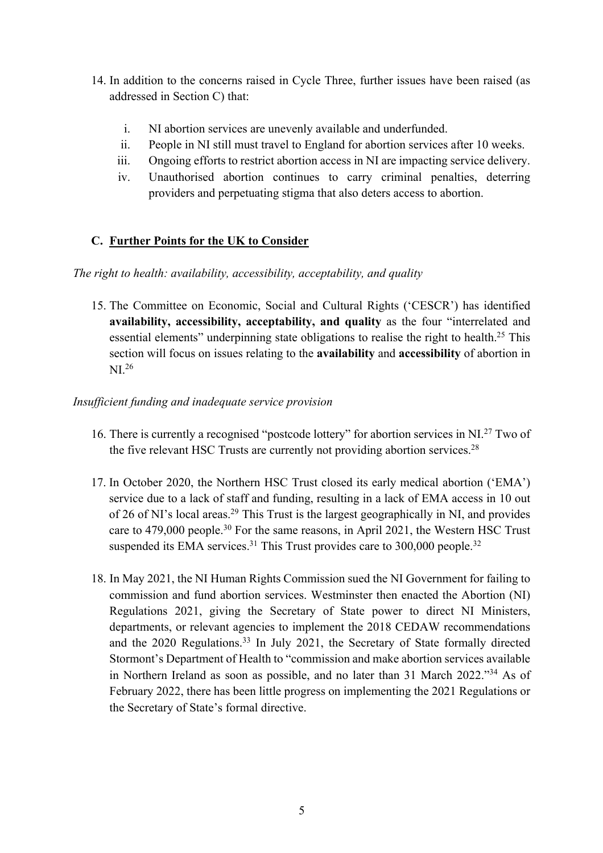- 14. In addition to the concerns raised in Cycle Three, further issues have been raised (as addressed in Section C) that:
	- i. NI abortion services are unevenly available and underfunded.
	- ii. People in NI still must travel to England for abortion services after 10 weeks.
	- iii. Ongoing efforts to restrict abortion access in NI are impacting service delivery.
	- iv. Unauthorised abortion continues to carry criminal penalties, deterring providers and perpetuating stigma that also deters access to abortion.

# **C. Further Points for the UK to Consider**

*The right to health: availability, accessibility, acceptability, and quality*

15. The Committee on Economic, Social and Cultural Rights ('CESCR') has identified **availability, accessibility, acceptability, and quality** as the four "interrelated and essential elements" underpinning state obligations to realise the right to health.<sup>25</sup> This section will focus on issues relating to the **availability** and **accessibility** of abortion in NI.26

#### *Insufficient funding and inadequate service provision*

- 16. There is currently a recognised "postcode lottery" for abortion services in NI.<sup>27</sup> Two of the five relevant HSC Trusts are currently not providing abortion services.<sup>28</sup>
- 17. In October 2020, the Northern HSC Trust closed its early medical abortion ('EMA') service due to a lack of staff and funding, resulting in a lack of EMA access in 10 out of 26 of NI's local areas.<sup>29</sup> This Trust is the largest geographically in NI, and provides care to 479,000 people.30 For the same reasons, in April 2021, the Western HSC Trust suspended its EMA services.<sup>31</sup> This Trust provides care to 300,000 people.<sup>32</sup>
- 18. In May 2021, the NI Human Rights Commission sued the NI Government for failing to commission and fund abortion services. Westminster then enacted the Abortion (NI) Regulations 2021, giving the Secretary of State power to direct NI Ministers, departments, or relevant agencies to implement the 2018 CEDAW recommendations and the 2020 Regulations.33 In July 2021, the Secretary of State formally directed Stormont's Department of Health to "commission and make abortion services available in Northern Ireland as soon as possible, and no later than 31 March 2022."34 As of February 2022, there has been little progress on implementing the 2021 Regulations or the Secretary of State's formal directive.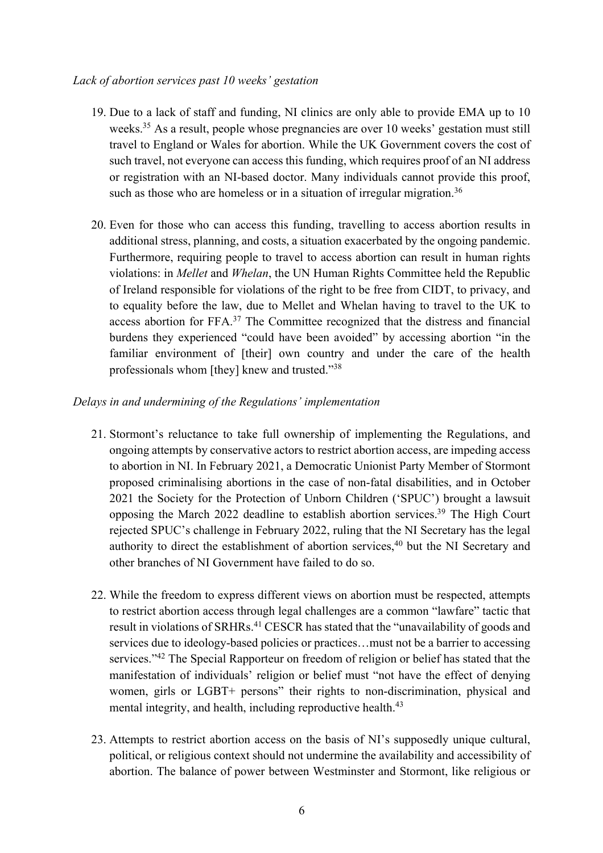#### *Lack of abortion services past 10 weeks' gestation*

- 19. Due to a lack of staff and funding, NI clinics are only able to provide EMA up to 10 weeks.<sup>35</sup> As a result, people whose pregnancies are over 10 weeks' gestation must still travel to England or Wales for abortion. While the UK Government covers the cost of such travel, not everyone can access this funding, which requires proof of an NI address or registration with an NI-based doctor. Many individuals cannot provide this proof, such as those who are homeless or in a situation of irregular migration.<sup>36</sup>
- 20. Even for those who can access this funding, travelling to access abortion results in additional stress, planning, and costs, a situation exacerbated by the ongoing pandemic. Furthermore, requiring people to travel to access abortion can result in human rights violations: in *Mellet* and *Whelan*, the UN Human Rights Committee held the Republic of Ireland responsible for violations of the right to be free from CIDT, to privacy, and to equality before the law, due to Mellet and Whelan having to travel to the UK to access abortion for FFA.37 The Committee recognized that the distress and financial burdens they experienced "could have been avoided" by accessing abortion "in the familiar environment of [their] own country and under the care of the health professionals whom [they] knew and trusted."38

#### *Delays in and undermining of the Regulations' implementation*

- 21. Stormont's reluctance to take full ownership of implementing the Regulations, and ongoing attempts by conservative actors to restrict abortion access, are impeding access to abortion in NI. In February 2021, a Democratic Unionist Party Member of Stormont proposed criminalising abortions in the case of non-fatal disabilities, and in October 2021 the Society for the Protection of Unborn Children ('SPUC') brought a lawsuit opposing the March 2022 deadline to establish abortion services.39 The High Court rejected SPUC's challenge in February 2022, ruling that the NI Secretary has the legal authority to direct the establishment of abortion services,<sup>40</sup> but the NI Secretary and other branches of NI Government have failed to do so.
- 22. While the freedom to express different views on abortion must be respected, attempts to restrict abortion access through legal challenges are a common "lawfare" tactic that result in violations of SRHRs.<sup>41</sup> CESCR has stated that the "unavailability of goods and services due to ideology-based policies or practices…must not be a barrier to accessing services."42 The Special Rapporteur on freedom of religion or belief has stated that the manifestation of individuals' religion or belief must "not have the effect of denying women, girls or LGBT+ persons" their rights to non-discrimination, physical and mental integrity, and health, including reproductive health.<sup>43</sup>
- 23. Attempts to restrict abortion access on the basis of NI's supposedly unique cultural, political, or religious context should not undermine the availability and accessibility of abortion. The balance of power between Westminster and Stormont, like religious or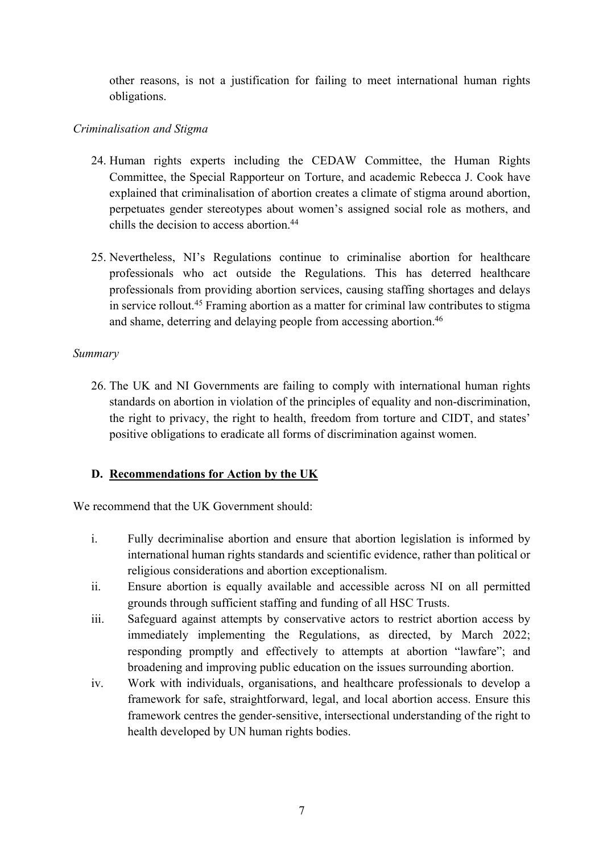other reasons, is not a justification for failing to meet international human rights obligations.

# *Criminalisation and Stigma*

- 24. Human rights experts including the CEDAW Committee, the Human Rights Committee, the Special Rapporteur on Torture, and academic Rebecca J. Cook have explained that criminalisation of abortion creates a climate of stigma around abortion, perpetuates gender stereotypes about women's assigned social role as mothers, and chills the decision to access abortion.<sup>44</sup>
- 25. Nevertheless, NI's Regulations continue to criminalise abortion for healthcare professionals who act outside the Regulations. This has deterred healthcare professionals from providing abortion services, causing staffing shortages and delays in service rollout.45 Framing abortion as a matter for criminal law contributes to stigma and shame, deterring and delaying people from accessing abortion.<sup>46</sup>

# *Summary*

26. The UK and NI Governments are failing to comply with international human rights standards on abortion in violation of the principles of equality and non-discrimination, the right to privacy, the right to health, freedom from torture and CIDT, and states' positive obligations to eradicate all forms of discrimination against women.

# **D. Recommendations for Action by the UK**

We recommend that the UK Government should:

- i. Fully decriminalise abortion and ensure that abortion legislation is informed by international human rights standards and scientific evidence, rather than political or religious considerations and abortion exceptionalism.
- ii. Ensure abortion is equally available and accessible across NI on all permitted grounds through sufficient staffing and funding of all HSC Trusts.
- iii. Safeguard against attempts by conservative actors to restrict abortion access by immediately implementing the Regulations, as directed, by March 2022; responding promptly and effectively to attempts at abortion "lawfare"; and broadening and improving public education on the issues surrounding abortion.
- iv. Work with individuals, organisations, and healthcare professionals to develop a framework for safe, straightforward, legal, and local abortion access. Ensure this framework centres the gender-sensitive, intersectional understanding of the right to health developed by UN human rights bodies.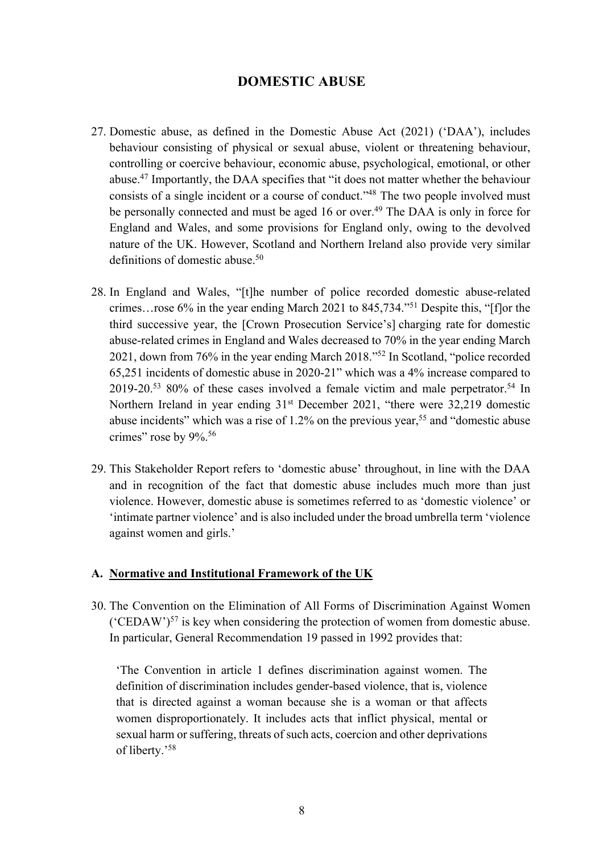## **DOMESTIC ABUSE**

- 27. Domestic abuse, as defined in the Domestic Abuse Act (2021) ('DAA'), includes behaviour consisting of physical or sexual abuse, violent or threatening behaviour, controlling or coercive behaviour, economic abuse, psychological, emotional, or other abuse.47 Importantly, the DAA specifies that "it does not matter whether the behaviour consists of a single incident or a course of conduct."48 The two people involved must be personally connected and must be aged 16 or over.<sup>49</sup> The DAA is only in force for England and Wales, and some provisions for England only, owing to the devolved nature of the UK. However, Scotland and Northern Ireland also provide very similar definitions of domestic abuse.<sup>50</sup>
- 28. In England and Wales, "[t]he number of police recorded domestic abuse-related crimes…rose 6% in the year ending March 2021 to 845,734."51 Despite this, "[f]or the third successive year, the [Crown Prosecution Service's] charging rate for domestic abuse-related crimes in England and Wales decreased to 70% in the year ending March 2021, down from 76% in the year ending March 2018."52 In Scotland, "police recorded 65,251 incidents of domestic abuse in 2020-21" which was a 4% increase compared to 2019-20.53 80% of these cases involved a female victim and male perpetrator.54 In Northern Ireland in year ending 31<sup>st</sup> December 2021, "there were 32,219 domestic abuse incidents" which was a rise of  $1.2\%$  on the previous year,<sup>55</sup> and "domestic abuse crimes" rose by 9%.<sup>56</sup>
- 29. This Stakeholder Report refers to 'domestic abuse' throughout, in line with the DAA and in recognition of the fact that domestic abuse includes much more than just violence. However, domestic abuse is sometimes referred to as 'domestic violence' or 'intimate partner violence' and is also included under the broad umbrella term 'violence against women and girls.'

#### **A. Normative and Institutional Framework of the UK**

30. The Convention on the Elimination of All Forms of Discrimination Against Women ('CEDAW') $57$  is key when considering the protection of women from domestic abuse. In particular, General Recommendation 19 passed in 1992 provides that:

'The Convention in article 1 defines discrimination against women. The definition of discrimination includes gender-based violence, that is, violence that is directed against a woman because she is a woman or that affects women disproportionately. It includes acts that inflict physical, mental or sexual harm or suffering, threats of such acts, coercion and other deprivations of liberty.' 58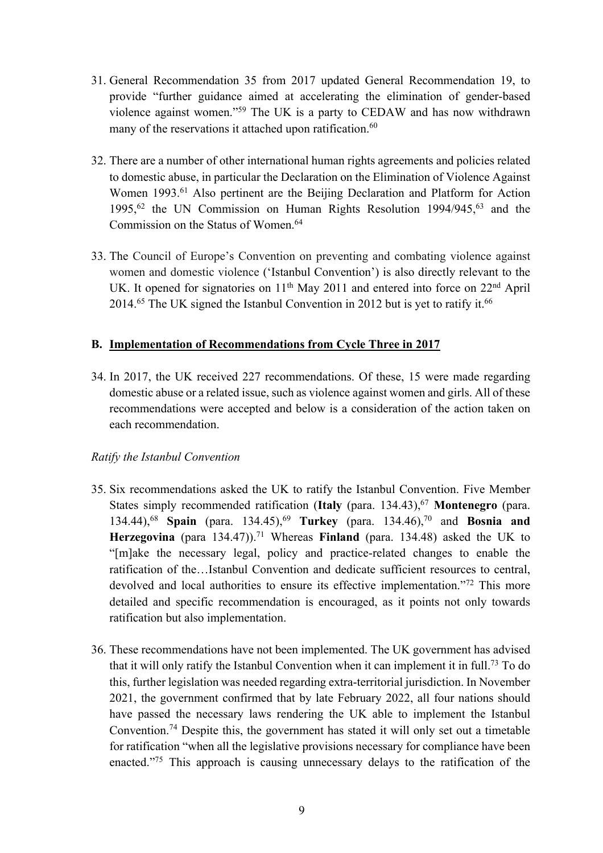- 31. General Recommendation 35 from 2017 updated General Recommendation 19, to provide "further guidance aimed at accelerating the elimination of gender-based violence against women."59 The UK is a party to CEDAW and has now withdrawn many of the reservations it attached upon ratification.<sup>60</sup>
- 32. There are a number of other international human rights agreements and policies related to domestic abuse, in particular the Declaration on the Elimination of Violence Against Women 1993.<sup>61</sup> Also pertinent are the Beijing Declaration and Platform for Action 1995,<sup>62</sup> the UN Commission on Human Rights Resolution 1994/945,<sup>63</sup> and the Commission on the Status of Women.<sup>64</sup>
- 33. The Council of Europe's Convention on preventing and combating violence against women and domestic violence ('Istanbul Convention') is also directly relevant to the UK. It opened for signatories on  $11<sup>th</sup>$  May 2011 and entered into force on  $22<sup>nd</sup>$  April 2014.<sup>65</sup> The UK signed the Istanbul Convention in 2012 but is yet to ratify it.<sup>66</sup>

## **B. Implementation of Recommendations from Cycle Three in 2017**

34. In 2017, the UK received 227 recommendations. Of these, 15 were made regarding domestic abuse or a related issue, such as violence against women and girls. All of these recommendations were accepted and below is a consideration of the action taken on each recommendation.

## *Ratify the Istanbul Convention*

- 35. Six recommendations asked the UK to ratify the Istanbul Convention. Five Member States simply recommended ratification (**Italy** (para. 134.43),67 **Montenegro** (para. 134.44),68 **Spain** (para. 134.45),69 **Turkey** (para. 134.46),70 and **Bosnia and Herzegovina** (para 134.47)).<sup>71</sup> Whereas **Finland** (para. 134.48) asked the UK to "[m]ake the necessary legal, policy and practice-related changes to enable the ratification of the…Istanbul Convention and dedicate sufficient resources to central, devolved and local authorities to ensure its effective implementation."<sup>72</sup> This more detailed and specific recommendation is encouraged, as it points not only towards ratification but also implementation.
- 36. These recommendations have not been implemented. The UK government has advised that it will only ratify the Istanbul Convention when it can implement it in full.73 To do this, further legislation was needed regarding extra-territorial jurisdiction. In November 2021, the government confirmed that by late February 2022, all four nations should have passed the necessary laws rendering the UK able to implement the Istanbul Convention.74 Despite this, the government has stated it will only set out a timetable for ratification "when all the legislative provisions necessary for compliance have been enacted."75 This approach is causing unnecessary delays to the ratification of the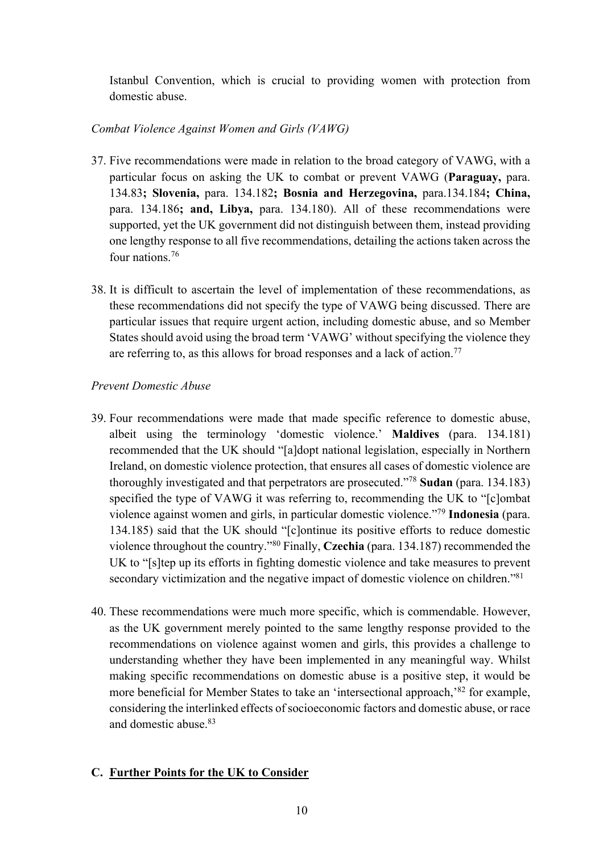Istanbul Convention, which is crucial to providing women with protection from domestic abuse.

# *Combat Violence Against Women and Girls (VAWG)*

- 37. Five recommendations were made in relation to the broad category of VAWG, with a particular focus on asking the UK to combat or prevent VAWG (**Paraguay,** para. 134.83**; Slovenia,** para. 134.182**; Bosnia and Herzegovina,** para.134.184**; China,**  para. 134.186**; and, Libya,** para. 134.180). All of these recommendations were supported, yet the UK government did not distinguish between them, instead providing one lengthy response to all five recommendations, detailing the actions taken across the four nations.<sup>76</sup>
- 38. It is difficult to ascertain the level of implementation of these recommendations, as these recommendations did not specify the type of VAWG being discussed. There are particular issues that require urgent action, including domestic abuse, and so Member States should avoid using the broad term 'VAWG' without specifying the violence they are referring to, as this allows for broad responses and a lack of action.<sup>77</sup>

# *Prevent Domestic Abuse*

- 39. Four recommendations were made that made specific reference to domestic abuse, albeit using the terminology 'domestic violence.' **Maldives** (para. 134.181) recommended that the UK should "[a]dopt national legislation, especially in Northern Ireland, on domestic violence protection, that ensures all cases of domestic violence are thoroughly investigated and that perpetrators are prosecuted."78 **Sudan** (para. 134.183) specified the type of VAWG it was referring to, recommending the UK to "[c]ombat violence against women and girls, in particular domestic violence."79 **Indonesia** (para. 134.185) said that the UK should "[c]ontinue its positive efforts to reduce domestic violence throughout the country."80 Finally, **Czechia** (para. 134.187) recommended the UK to "[s]tep up its efforts in fighting domestic violence and take measures to prevent secondary victimization and the negative impact of domestic violence on children."<sup>81</sup>
- 40. These recommendations were much more specific, which is commendable. However, as the UK government merely pointed to the same lengthy response provided to the recommendations on violence against women and girls, this provides a challenge to understanding whether they have been implemented in any meaningful way. Whilst making specific recommendations on domestic abuse is a positive step, it would be more beneficial for Member States to take an 'intersectional approach,'82 for example, considering the interlinked effects of socioeconomic factors and domestic abuse, or race and domestic abuse.83

# **C. Further Points for the UK to Consider**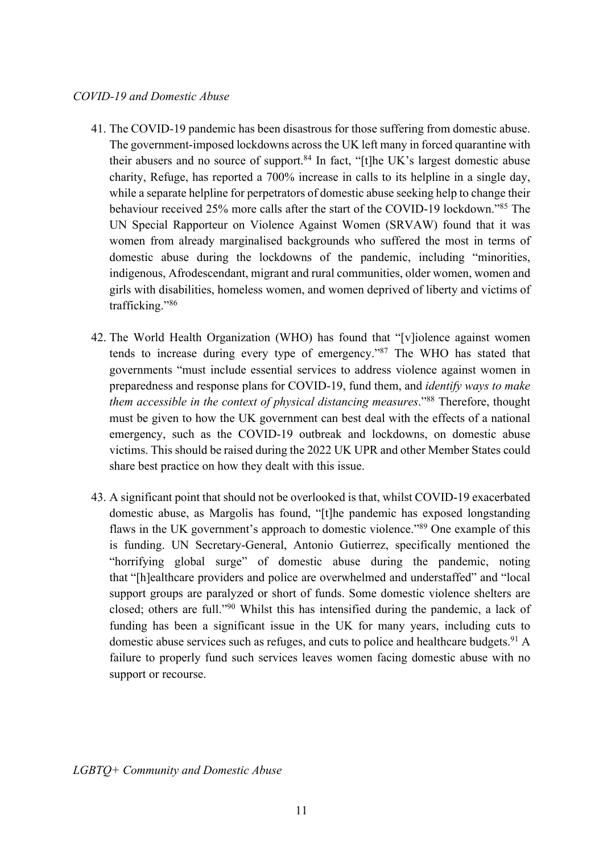- 41. The COVID-19 pandemic has been disastrous for those suffering from domestic abuse. The government-imposed lockdowns across the UK left many in forced quarantine with their abusers and no source of support.<sup>84</sup> In fact, "[t]he UK's largest domestic abuse charity, Refuge, has reported a 700% increase in calls to its helpline in a single day, while a separate helpline for perpetrators of domestic abuse seeking help to change their behaviour received 25% more calls after the start of the COVID-19 lockdown."85 The UN Special Rapporteur on Violence Against Women (SRVAW) found that it was women from already marginalised backgrounds who suffered the most in terms of domestic abuse during the lockdowns of the pandemic, including "minorities, indigenous, Afrodescendant, migrant and rural communities, older women, women and girls with disabilities, homeless women, and women deprived of liberty and victims of trafficking."86
- 42. The World Health Organization (WHO) has found that "[v]iolence against women tends to increase during every type of emergency."87 The WHO has stated that governments "must include essential services to address violence against women in preparedness and response plans for COVID-19, fund them, and *identify ways to make them accessible in the context of physical distancing measures*."88 Therefore, thought must be given to how the UK government can best deal with the effects of a national emergency, such as the COVID-19 outbreak and lockdowns, on domestic abuse victims. This should be raised during the 2022 UK UPR and other Member States could share best practice on how they dealt with this issue.
- 43. A significant point that should not be overlooked is that, whilst COVID-19 exacerbated domestic abuse, as Margolis has found, "[t]he pandemic has exposed longstanding flaws in the UK government's approach to domestic violence."89 One example of this is funding. UN Secretary-General, Antonio Gutierrez, specifically mentioned the "horrifying global surge" of domestic abuse during the pandemic, noting that "[h]ealthcare providers and police are overwhelmed and understaffed" and "local support groups are paralyzed or short of funds. Some domestic violence shelters are closed; others are full."90 Whilst this has intensified during the pandemic, a lack of funding has been a significant issue in the UK for many years, including cuts to domestic abuse services such as refuges, and cuts to police and healthcare budgets. <sup>91</sup> A failure to properly fund such services leaves women facing domestic abuse with no support or recourse.

*LGBTQ+ Community and Domestic Abuse*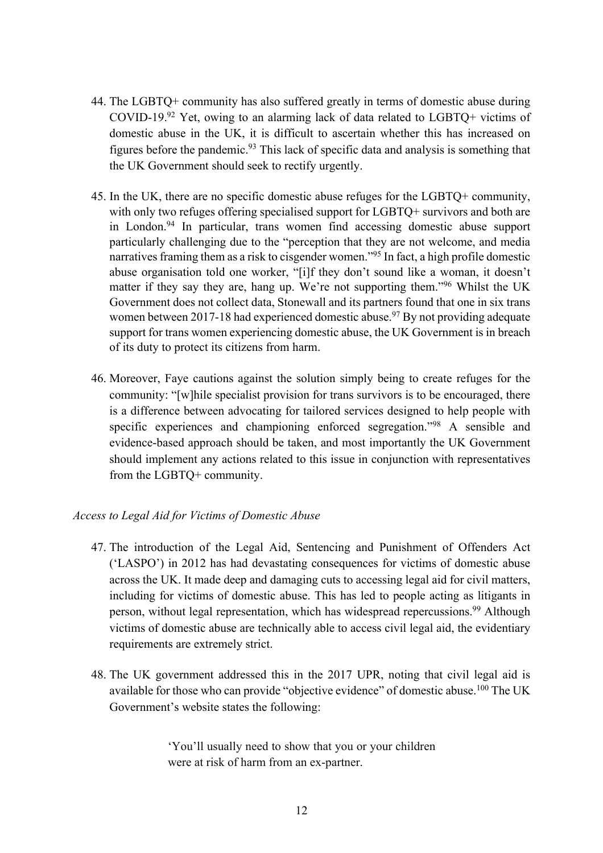- 44. The LGBTQ+ community has also suffered greatly in terms of domestic abuse during COVID-19.<sup>92</sup> Yet, owing to an alarming lack of data related to LGBTO+ victims of domestic abuse in the UK, it is difficult to ascertain whether this has increased on figures before the pandemic.<sup>93</sup> This lack of specific data and analysis is something that the UK Government should seek to rectify urgently.
- 45. In the UK, there are no specific domestic abuse refuges for the LGBTQ+ community, with only two refuges offering specialised support for LGBTQ+ survivors and both are in London.94 In particular, trans women find accessing domestic abuse support particularly challenging due to the "perception that they are not welcome, and media narratives framing them as a risk to cisgender women."95 In fact, a high profile domestic abuse organisation told one worker, "[i]f they don't sound like a woman, it doesn't matter if they say they are, hang up. We're not supporting them."96 Whilst the UK Government does not collect data, Stonewall and its partners found that one in six trans women between 2017-18 had experienced domestic abuse.<sup>97</sup> By not providing adequate support for trans women experiencing domestic abuse, the UK Government is in breach of its duty to protect its citizens from harm.
- 46. Moreover, Faye cautions against the solution simply being to create refuges for the community: "[w]hile specialist provision for trans survivors is to be encouraged, there is a difference between advocating for tailored services designed to help people with specific experiences and championing enforced segregation."98 A sensible and evidence-based approach should be taken, and most importantly the UK Government should implement any actions related to this issue in conjunction with representatives from the LGBTQ+ community.

#### *Access to Legal Aid for Victims of Domestic Abuse*

- 47. The introduction of the Legal Aid, Sentencing and Punishment of Offenders Act ('LASPO') in 2012 has had devastating consequences for victims of domestic abuse across the UK. It made deep and damaging cuts to accessing legal aid for civil matters, including for victims of domestic abuse. This has led to people acting as litigants in person, without legal representation, which has widespread repercussions.<sup>99</sup> Although victims of domestic abuse are technically able to access civil legal aid, the evidentiary requirements are extremely strict.
- 48. The UK government addressed this in the 2017 UPR, noting that civil legal aid is available for those who can provide "objective evidence" of domestic abuse.<sup>100</sup> The UK Government's website states the following:

'You'll usually need to show that you or your children were at risk of harm from an ex-partner.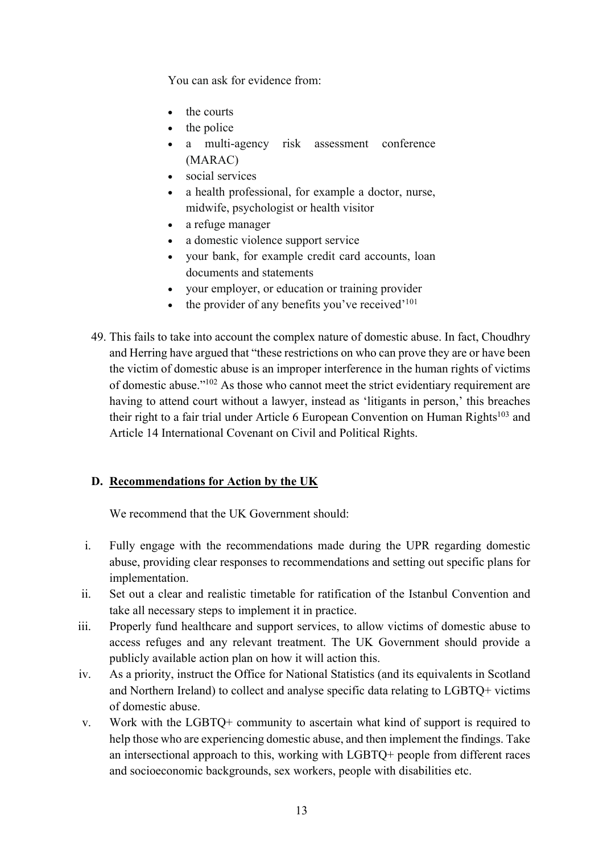You can ask for evidence from:

- the courts
- the police
- a multi-agency risk assessment conference (MARAC)
- social services
- a health professional, for example a doctor, nurse, midwife, psychologist or health visitor
- a refuge manager
- a domestic violence support service
- your bank, for example credit card accounts, loan documents and statements
- your employer, or education or training provider
- $\bullet$  the provider of any benefits you've received'<sup>101</sup>
- 49. This fails to take into account the complex nature of domestic abuse. In fact, Choudhry and Herring have argued that "these restrictions on who can prove they are or have been the victim of domestic abuse is an improper interference in the human rights of victims of domestic abuse."102 As those who cannot meet the strict evidentiary requirement are having to attend court without a lawyer, instead as 'litigants in person,' this breaches their right to a fair trial under Article 6 European Convention on Human Rights<sup>103</sup> and Article 14 International Covenant on Civil and Political Rights.

# **D. Recommendations for Action by the UK**

We recommend that the UK Government should:

- i. Fully engage with the recommendations made during the UPR regarding domestic abuse, providing clear responses to recommendations and setting out specific plans for implementation.
- ii. Set out a clear and realistic timetable for ratification of the Istanbul Convention and take all necessary steps to implement it in practice.
- iii. Properly fund healthcare and support services, to allow victims of domestic abuse to access refuges and any relevant treatment. The UK Government should provide a publicly available action plan on how it will action this.
- iv. As a priority, instruct the Office for National Statistics (and its equivalents in Scotland and Northern Ireland) to collect and analyse specific data relating to LGBTQ+ victims of domestic abuse.
- v. Work with the LGBTQ+ community to ascertain what kind of support is required to help those who are experiencing domestic abuse, and then implement the findings. Take an intersectional approach to this, working with LGBTQ+ people from different races and socioeconomic backgrounds, sex workers, people with disabilities etc.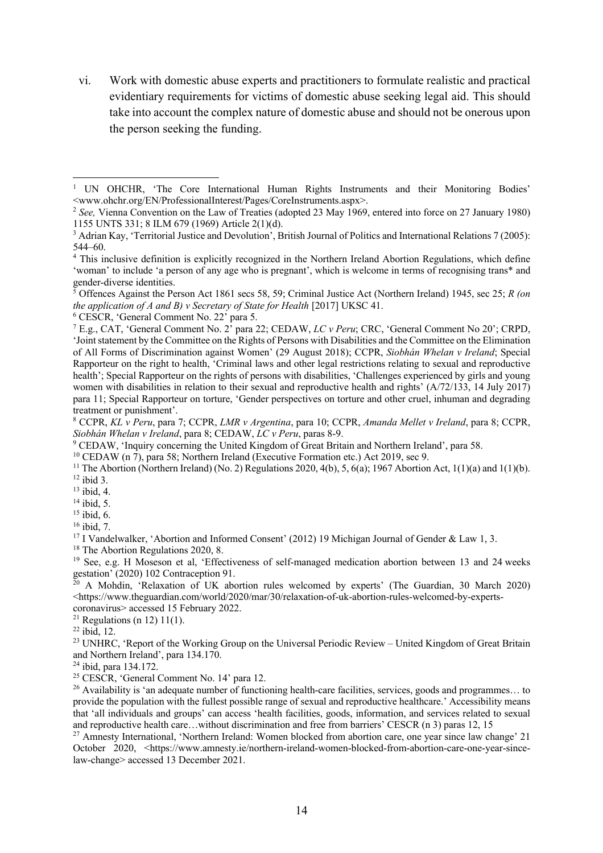vi. Work with domestic abuse experts and practitioners to formulate realistic and practical evidentiary requirements for victims of domestic abuse seeking legal aid. This should take into account the complex nature of domestic abuse and should not be onerous upon the person seeking the funding.

<sup>5</sup> Offences Against the Person Act 1861 secs 58, 59; Criminal Justice Act (Northern Ireland) 1945, sec 25; *R (on the application of A and B) v Secretary of State for Health* [2017] UKSC 41.

<sup>6</sup> CESCR, 'General Comment No. 22' para 5.

<sup>8</sup> CCPR, *KL v Peru*, para 7; CCPR, *LMR v Argentina*, para 10; CCPR, *Amanda Mellet v Ireland*, para 8; CCPR, *Siobhán Whelan v Ireland*, para 8; CEDAW, *LC v Peru*, paras 8-9.

<sup>9</sup> CEDAW, 'Inquiry concerning the United Kingdom of Great Britain and Northern Ireland', para 58.

<sup>10</sup> CEDAW (n 7), para 58; Northern Ireland (Executive Formation etc.) Act 2019, sec 9.

<sup>11</sup> The Abortion (Northern Ireland) (No. 2) Regulations 2020, 4(b), 5, 6(a); 1967 Abortion Act, 1(1)(a) and 1(1)(b). <sup>12</sup> ibid 3.

<sup>13</sup> ibid, 4.

 $14$  ibid, 5.

 $15$  ibid, 6.

<sup>16</sup> ibid, 7.

<sup>17</sup> I Vandelwalker, 'Abortion and Informed Consent' (2012) 19 Michigan Journal of Gender & Law 1, 3.

<sup>18</sup> The Abortion Regulations 2020, 8.

<sup>19</sup> See, e.g. H Moseson et al, 'Effectiveness of self-managed medication abortion between 13 and 24 weeks gestation' (2020) 102 Contraception 91.

<sup>20</sup> A Mohdin, 'Relaxation of UK abortion rules welcomed by experts' (The Guardian, 30 March 2020) <https://www.theguardian.com/world/2020/mar/30/relaxation-of-uk-abortion-rules-welcomed-by-expertscoronavirus> accessed 15 February 2022.

<sup>21</sup> Regulations (n 12) 11(1).

 $22$  ibid, 12.

<sup>23</sup> UNHRC, 'Report of the Working Group on the Universal Periodic Review – United Kingdom of Great Britain and Northern Ireland', para 134.170.

<sup>24</sup> ibid, para 134.172.

<sup>25</sup> CESCR, 'General Comment No. 14' para 12.

<sup>26</sup> Availability is 'an adequate number of functioning health-care facilities, services, goods and programmes... to provide the population with the fullest possible range of sexual and reproductive healthcare.' Accessibility means that 'all individuals and groups' can access 'health facilities, goods, information, and services related to sexual and reproductive health care…without discrimination and free from barriers' CESCR (n 3) paras 12, 15

<sup>27</sup> Amnesty International, 'Northern Ireland: Women blocked from abortion care, one year since law change' 21 October 2020, <https://www.amnesty.ie/northern-ireland-women-blocked-from-abortion-care-one-year-sincelaw-change> accessed 13 December 2021.

<sup>&</sup>lt;sup>1</sup> UN OHCHR, 'The Core International Human Rights Instruments and their Monitoring Bodies' <www.ohchr.org/EN/ProfessionalInterest/Pages/CoreInstruments.aspx>.

<sup>&</sup>lt;sup>2</sup> See, Vienna Convention on the Law of Treaties (adopted 23 May 1969, entered into force on 27 January 1980) 1155 UNTS 331; 8 ILM 679 (1969) Article 2(1)(d).

<sup>3</sup> Adrian Kay, 'Territorial Justice and Devolution', British Journal of Politics and International Relations 7 (2005): 544–60.

<sup>4</sup> This inclusive definition is explicitly recognized in the Northern Ireland Abortion Regulations, which define 'woman' to include 'a person of any age who is pregnant', which is welcome in terms of recognising trans\* and gender-diverse identities.

<sup>7</sup> E.g., CAT, 'General Comment No. 2' para 22; CEDAW, *LC v Peru*; CRC, 'General Comment No 20'; CRPD, 'Joint statement by the Committee on the Rights of Persons with Disabilities and the Committee on the Elimination of All Forms of Discrimination against Women' (29 August 2018); CCPR, *Siobhán Whelan v Ireland*; Special Rapporteur on the right to health, 'Criminal laws and other legal restrictions relating to sexual and reproductive health'; Special Rapporteur on the rights of persons with disabilities, 'Challenges experienced by girls and young women with disabilities in relation to their sexual and reproductive health and rights' (A/72/133, 14 July 2017) para 11; Special Rapporteur on torture, 'Gender perspectives on torture and other cruel, inhuman and degrading treatment or punishment'.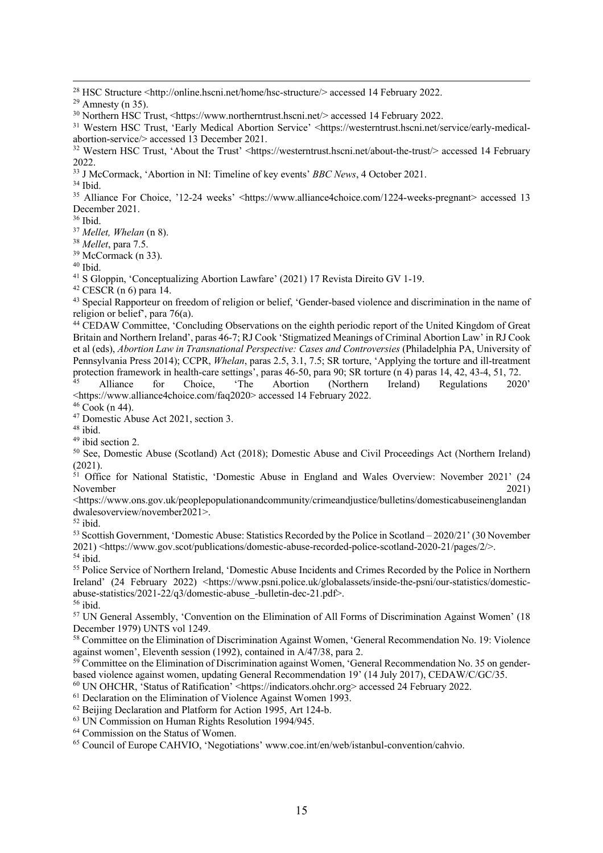<sup>28</sup> HSC Structure <http://online.hscni.net/home/hsc-structure/> accessed 14 February 2022.

<sup>30</sup> Northern HSC Trust, <https://www.northerntrust.hscni.net/> accessed 14 February 2022.

<sup>31</sup> Western HSC Trust, 'Early Medical Abortion Service' <https://westerntrust.hscni.net/service/early-medicalabortion-service/> accessed 13 December 2021.

<sup>32</sup> Western HSC Trust, 'About the Trust' <https://westerntrust.hscni.net/about-the-trust/> accessed 14 February 2022.

<sup>33</sup> J McCormack, 'Abortion in NI: Timeline of key events' *BBC News*, 4 October 2021.

 $34$  Ibid.

<sup>35</sup> Alliance For Choice, '12-24 weeks' <https://www.alliance4choice.com/1224-weeks-pregnant> accessed 13 December 2021.

<sup>36</sup> Ibid.

<sup>37</sup> *Mellet, Whelan* (n 8).

<sup>38</sup> *Mellet*, para 7.5.

 $39$  McCormack (n 33).

<sup>40</sup> Ibid.

<sup>41</sup> S Gloppin, 'Conceptualizing Abortion Lawfare' (2021) 17 Revista Direito GV 1-19.

 $42$  CESCR (n 6) para 14.

<sup>43</sup> Special Rapporteur on freedom of religion or belief, 'Gender-based violence and discrimination in the name of religion or belief', para 76(a).

<sup>44</sup> CEDAW Committee, 'Concluding Observations on the eighth periodic report of the United Kingdom of Great Britain and Northern Ireland', paras 46-7; RJ Cook 'Stigmatized Meanings of Criminal Abortion Law' in RJ Cook et al (eds), *Abortion Law in Transnational Perspective: Cases and Controversies* (Philadelphia PA, University of Pennsylvania Press 2014); CCPR, *Whelan*, paras 2.5, 3.1, 7.5; SR torture, 'Applying the torture and ill-treatment protection framework in health-care settings', paras 46-50, para 90; SR torture (n 4) paras 14, 42, 43-4, 51, 72.

<sup>45</sup> Alliance for Choice, 'The Abortion (Northern Ireland) Regulations 2020' <https://www.alliance4choice.com/faq2020> accessed 14 February 2022.

 $46 \text{ Cook} (n 44)$ .

<sup>47</sup> Domestic Abuse Act 2021, section 3.

 $48$  ibid.

 $49$  ibid section 2.

<sup>50</sup> See, Domestic Abuse (Scotland) Act (2018); Domestic Abuse and Civil Proceedings Act (Northern Ireland) (2021).

<sup>51</sup> Office for National Statistic, 'Domestic Abuse in England and Wales Overview: November 2021' (24 November 2021)

https://www.ons.gov.uk/peoplepopulationandcommunity/crimeandjustice/bulletins/domesticabuseinenglandan<br/>
strategie of the strategie of the strategie of the strategie of the strategie of the strategie of the strategie of dwalesoverview/november2021>.

<sup>52</sup> ibid.

<sup>53</sup> Scottish Government, 'Domestic Abuse: Statistics Recorded by the Police in Scotland – 2020/21' (30 November 2021) <https://www.gov.scot/publications/domestic-abuse-recorded-police-scotland-2020-21/pages/2/>. <sup>54</sup> ibid.

<sup>55</sup> Police Service of Northern Ireland, 'Domestic Abuse Incidents and Crimes Recorded by the Police in Northern Ireland' (24 February 2022) <https://www.psni.police.uk/globalassets/inside-the-psni/our-statistics/domesticabuse-statistics/2021-22/q3/domestic-abuse\_-bulletin-dec-21.pdf>. <sup>56</sup> ibid.

<sup>57</sup> UN General Assembly, 'Convention on the Elimination of All Forms of Discrimination Against Women' (18 December 1979) UNTS vol 1249.

<sup>58</sup> Committee on the Elimination of Discrimination Against Women, 'General Recommendation No. 19: Violence against women', Eleventh session (1992), contained in A/47/38, para 2.

 $59$  Committee on the Elimination of Discrimination against Women, 'General Recommendation No. 35 on genderbased violence against women, updating General Recommendation 19' (14 July 2017), CEDAW/C/GC/35.

<sup>60</sup> UN OHCHR, 'Status of Ratification' <https://indicators.ohchr.org> accessed 24 February 2022.

<sup>61</sup> Declaration on the Elimination of Violence Against Women 1993.

<sup>62</sup> Beijing Declaration and Platform for Action 1995, Art 124-b.

<sup>63</sup> UN Commission on Human Rights Resolution 1994/945.

<sup>64</sup> Commission on the Status of Women.

<sup>65</sup> Council of Europe CAHVIO, 'Negotiations' www.coe.int/en/web/istanbul-convention/cahvio.

 $29$  Amnesty (n 35).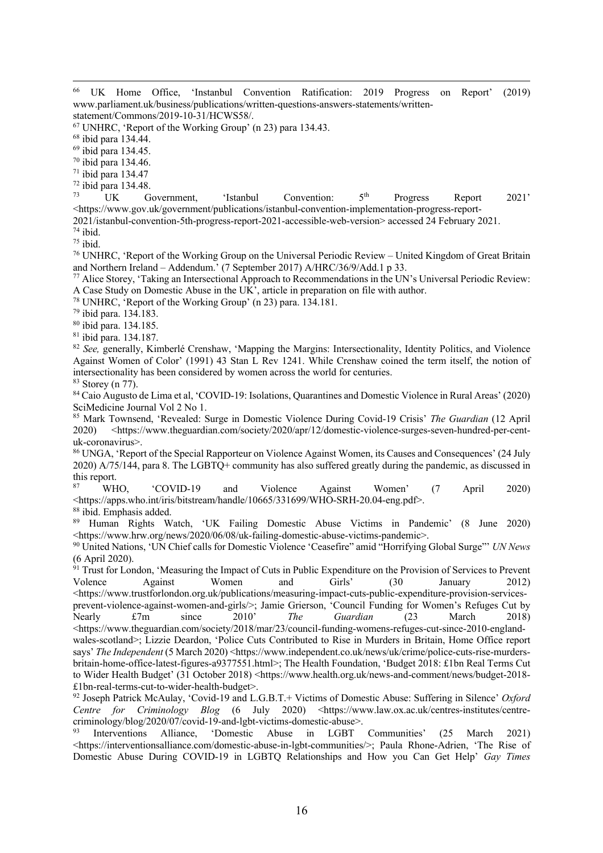<sup>66</sup> UK Home Office, 'Instanbul Convention Ratification: 2019 Progress on Report' (2019) www.parliament.uk/business/publications/written-questions-answers-statements/written-

statement/Commons/2019-10-31/HCWS58/.

<sup>67</sup> UNHRC, 'Report of the Working Group' (n 23) para 134.43.

<sup>68</sup> ibid para 134.44.

<sup>69</sup> ibid para 134.45.

<sup>70</sup> ibid para 134.46.

<sup>71</sup> ibid para 134.47

 $^{72}$  ibid para 134.48.

<sup>73</sup> UK Government, 'Istanbul Convention:  $5<sup>th</sup>$  Progress Report 2021' <https://www.gov.uk/government/publications/istanbul-convention-implementation-progress-report-

2021/istanbul-convention-5th-progress-report-2021-accessible-web-version> accessed 24 February 2021.

<sup>74</sup> ibid.

 $75$  ibid.

<sup>76</sup> UNHRC, 'Report of the Working Group on the Universal Periodic Review – United Kingdom of Great Britain and Northern Ireland – Addendum.' (7 September 2017) A/HRC/36/9/Add.1 p 33.

<sup>77</sup> Alice Storey, 'Taking an Intersectional Approach to Recommendations in the UN's Universal Periodic Review: A Case Study on Domestic Abuse in the UK', article in preparation on file with author.

<sup>78</sup> UNHRC, 'Report of the Working Group' (n 23) para. 134.181.

<sup>79</sup> ibid para. 134.183.

<sup>80</sup> ibid para. 134.185.

<sup>81</sup> ibid para. 134.187.

<sup>82</sup> *See*, generally, Kimberlé Crenshaw, 'Mapping the Margins: Intersectionality, Identity Politics, and Violence Against Women of Color' (1991) 43 Stan L Rev 1241. While Crenshaw coined the term itself, the notion of intersectionality has been considered by women across the world for centuries.  $83$  Storey (n 77).

<sup>84</sup> Caio Augusto de Lima et al, 'COVID-19: Isolations, Quarantines and Domestic Violence in Rural Areas' (2020) SciMedicine Journal Vol 2 No 1.

<sup>85</sup> Mark Townsend, 'Revealed: Surge in Domestic Violence During Covid-19 Crisis' *The Guardian* (12 April 2020) <https://www.theguardian.com/society/2020/apr/12/domestic-violence-surges-seven-hundred-per-centuk-coronavirus>.

<sup>86</sup> UNGA, 'Report of the Special Rapporteur on Violence Against Women, its Causes and Consequences' (24 July 2020) A/75/144, para 8. The LGBTQ+ community has also suffered greatly during the pandemic, as discussed in this report.

<sup>87</sup> WHO, 'COVID-19 and Violence Against Women' (7 April 2020) <https://apps.who.int/iris/bitstream/handle/10665/331699/WHO-SRH-20.04-eng.pdf>.

<sup>88</sup> ibid. Emphasis added.

<sup>89</sup> Human Rights Watch, 'UK Failing Domestic Abuse Victims in Pandemic' (8 June 2020) <https://www.hrw.org/news/2020/06/08/uk-failing-domestic-abuse-victims-pandemic>.

<sup>90</sup> United Nations, 'UN Chief calls for Domestic Violence 'Ceasefire" amid "Horrifying Global Surge"' *UN News* (6 April 2020).

<sup>91</sup> Trust for London, 'Measuring the Impact of Cuts in Public Expenditure on the Provision of Services to Prevent Volence Against Women and Girls' (30 January 2012) <https://www.trustforlondon.org.uk/publications/measuring-impact-cuts-public-expenditure-provision-servicesprevent-violence-against-women-and-girls/>; Jamie Grierson, 'Council Funding for Women's Refuges Cut by Nearly £7m since 2010' *The Guardian* (23 March 2018) <https://www.theguardian.com/society/2018/mar/23/council-funding-womens-refuges-cut-since-2010-englandwales-scotland>; Lizzie Deardon, 'Police Cuts Contributed to Rise in Murders in Britain, Home Office report says' *The Independent* (5 March 2020) <https://www.independent.co.uk/news/uk/crime/police-cuts-rise-murdersbritain-home-office-latest-figures-a9377551.html>; The Health Foundation, 'Budget 2018: £1bn Real Terms Cut to Wider Health Budget' (31 October 2018) <https://www.health.org.uk/news-and-comment/news/budget-2018-£1bn-real-terms-cut-to-wider-health-budget>.

<sup>92</sup> Joseph Patrick McAulay, 'Covid-19 and L.G.B.T.+ Victims of Domestic Abuse: Suffering in Silence' *Oxford Centre for Criminology Blog* (6 July 2020) <https://www.law.ox.ac.uk/centres-institutes/centrecriminology/blog/2020/07/covid-19-and-lgbt-victims-domestic-abuse>.

<sup>93</sup> Interventions Alliance, 'Domestic Abuse in LGBT Communities' (25 March 2021) <https://interventionsalliance.com/domestic-abuse-in-lgbt-communities/>; Paula Rhone-Adrien, 'The Rise of Domestic Abuse During COVID-19 in LGBTQ Relationships and How you Can Get Help' *Gay Times*